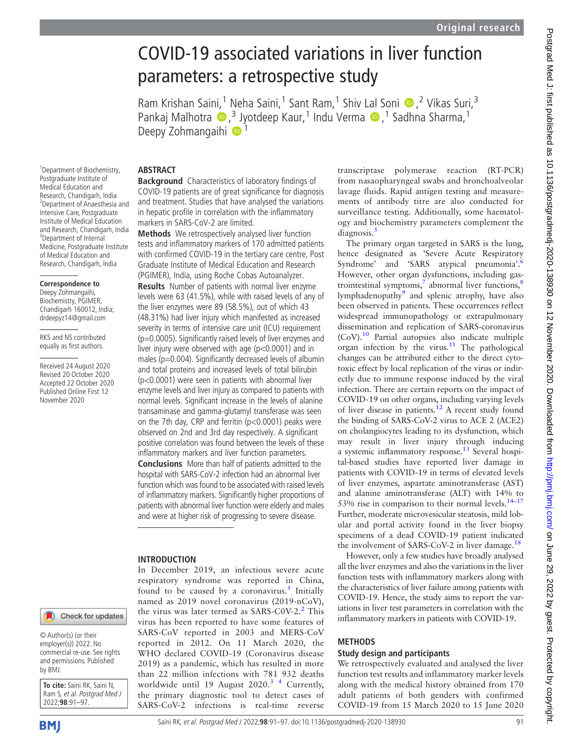# COVID-19 associated variations in liver function parameters: a retrospective study

Ram Krishan Saini,<sup>1</sup> Neha Saini,<sup>1</sup> Sant Ram,<sup>1</sup> Shiv Lal Soni (D,<sup>2</sup> Vikas Suri,<sup>3</sup> Pankaj Malhotra  $\bullet$ ,<sup>3</sup> Jyotdeep Kaur,<sup>1</sup> Indu Verma  $\bullet$ ,<sup>1</sup> Sadhna Sharma,<sup>1</sup> Deepy Zohmangaihi <sup>1</sup>

1 Department of Biochemistry, Postgraduate Institute of Medical Education and Research, Chandigarh, India 2 Department of Anaesthesia and Intensive Care, Postgraduate Institute of Medical Education and Research, Chandigarh, India <sup>3</sup>Department of Internal Medicine, Postgraduate Institute of Medical Education and Research, Chandigarh, India

# **Correspondence to**

Deepy Zohmangaihi, Biochemistry, PGIMER, Chandigarh 160012, India; [drdeepyz14@gmail.com](mailto:drdeepyz14@gmail.com)

RKS and NS contributed equally as first authors.

Received 24 August 2020 Revised 20 October 2020 Accepted 22 October 2020 Published Online First 12 November 2020

# **ABSTRACT**

**Background** Characteristics of laboratory findings of COVID-19 patients are of great significance for diagnosis and treatment. Studies that have analysed the variations in hepatic profile in correlation with the inflammatory markers in SARS-CoV-2 are limited.

Methods We retrospectively analysed liver function tests and inflammatory markers of 170 admitted patients with confirmed COVID-19 in the tertiary care centre, Post Graduate Institute of Medical Education and Research (PGIMER), India, using Roche Cobas Autoanalyzer.

**Results** Number of patients with normal liver enzyme levels were 63 (41.5%), while with raised levels of any of the liver enzymes were 89 (58.5%), out of which 43 (48.31%) had liver injury which manifested as increased severity in terms of intensive care unit (ICU) requirement (p=0.0005). Significantly raised levels of liver enzymes and liver injury were observed with age (p<0.0001) and in males (p=0.004). Significantly decreased levels of albumin and total proteins and increased levels of total bilirubin (p<0.0001) were seen in patients with abnormal liver enzyme levels and liver injury as compared to patients with normal levels. Significant increase in the levels of alanine transaminase and gamma-glutamyl transferase was seen on the 7th day, CRP and ferritin (p<0.0001) peaks were observed on 2nd and 3rd day respectively. A significant positive correlation was found between the levels of these inflammatory markers and liver function parameters.

Conclusions More than half of patients admitted to the hospital with SARS-CoV-2 infection had an abnormal liver function which was found to be associated with raised levels of inflammatory markers. Significantly higher proportions of patients with abnormal liver function were elderly and males and were at higher risk of progressing to severe disease.

# INTRODUCTION

In December 2019, an infectious severe acute respiratory syndrome was reported in China, found to be caused by a coronavirus.<sup>1</sup> Initially named as 2019 novel coronavirus (2019-nCoV), the virus was later termed as SARS-C0V-2.<sup>2</sup> This virus has been reported to have some features of SARS-CoV reported in 2003 and MERS-CoV reported in 2012. On 11 March 2020, the WHO declared COVID-19 (Coronavirus disease 2019) as a pandemic, which has resulted in more than 22 million infections with 781 932 deaths worldwide until 19 August 2020.<sup>3</sup> <sup>4</sup> Currently, the primary diagnostic tool to detect cases of SARS-CoV-2 infections is real-time reverse transcriptase polymerase reaction (RT-PCR) from nasaopharyngeal swabs and bronchoalveolar lavage fluids. Rapid antigen testing and measurements of antibody titre are also conducted for surveillance testing. Additionally, some haematology and biochemistry parameters complement the diagnosis.<sup>5</sup>

The primary organ targeted in SARS is the lung, hence designated as 'Severe Acute Respiratory Syndrome' and 'SARS atypical pneumonia'.<sup>6</sup> However, other organ dysfunctions, including gastrointestinal symptoms, $\frac{7}{3}$  abnormal liver functions, $\frac{8}{3}$ lymphadenopathy<sup>9</sup> and splenic atrophy, have also been observed in patients. These occurrences reflect widespread immunopathology or extrapulmonary dissemination and replication of SARS-coronavirus (CoV).10 Partial autopsies also indicate multiple  $\alpha$  organ infection by the virus.<sup>11</sup> The pathological changes can be attributed either to the direct cytotoxic effect by local replication of the virus or indirectly due to immune response induced by the viral infection. There are certain reports on the impact of COVID-19 on other organs, including varying levels of liver disease in patients.<sup>12</sup> A recent study found the binding of SARS-CoV-2 virus to ACE 2 (ACE2) on cholangiocytes leading to its dysfunction, which may result in liver injury through inducing a systemic inflammatory response.<sup>13</sup> Several hospital-based studies have reported liver damage in patients with COVID-19 in terms of elevated levels of liver enzymes, aspartate aminotransferase (AST) and alanine aminotransferase (ALT) with 14% to 53% rise in comparison to their normal levels. $14-17$ Further, moderate microvesicular steatosis, mild lobular and portal activity found in the liver biopsy specimens of a dead COVID-19 patient indicated the involvement of SARS-CoV-2 in liver damage.<sup>18</sup>

However, only a few studies have broadly analysed all the liver enzymes and also the variations in the liver function tests with inflammatory markers along with the characteristics of liver failure among patients with COVID-19. Hence, the study aims to report the variations in liver test parameters in correlation with the inflammatory markers in patients with COVID-19.

# METHODS

# Study design and participants

We retrospectively evaluated and analysed the liver function test results and inflammatory marker levels along with the medical history obtained from 170 adult patients of both genders with confirmed COVID-19 from 15 March 2020 to 15 June 2020

© Author(s) (or their employer(s)) 2022. No commercial re-use. See rights and permissions. Published by BMJ.

**To cite:** Saini RK, Saini N, Ram S, et al. Postgrad Med J 2022;**98**:91–97.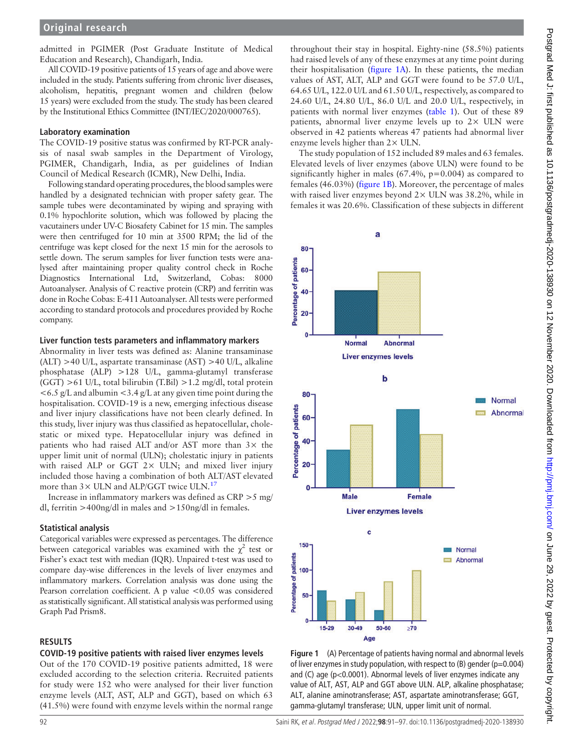admitted in PGIMER (Post Graduate Institute of Medical Education and Research), Chandigarh, India.

All COVID-19 positive patients of 15 years of age and above were included in the study. Patients suffering from chronic liver diseases, alcoholism, hepatitis, pregnant women and children (below 15 years) were excluded from the study. The study has been cleared by the Institutional Ethics Committee (INT/IEC/2020/000765).

#### Laboratory examination

The COVID-19 positive status was confirmed by RT-PCR analysis of nasal swab samples in the Department of Virology, PGIMER, Chandigarh, India, as per guidelines of Indian Council of Medical Research (ICMR), New Delhi, India.

Following standard operating procedures, the blood samples were handled by a designated technician with proper safety gear. The sample tubes were decontaminated by wiping and spraying with 0.1% hypochlorite solution, which was followed by placing the vacutainers under UV-C Biosafety Cabinet for 15 min. The samples were then centrifuged for 10 min at 3500 RPM; the lid of the centrifuge was kept closed for the next 15 min for the aerosols to settle down. The serum samples for liver function tests were analysed after maintaining proper quality control check in Roche Diagnostics International Ltd, Switzerland, Cobas: 8000 Autoanalyser. Analysis of C reactive protein (CRP) and ferritin was done in Roche Cobas: E-411 Autoanalyser. All tests were performed according to standard protocols and procedures provided by Roche company.

#### Liver function tests parameters and inflammatory markers

Abnormality in liver tests was defined as: Alanine transaminase (ALT) >40 U/L, aspartate transaminase (AST) >40 U/L, alkaline phosphatase (ALP) >128 U/L, gamma-glutamyl transferase (GGT) >61 U/L, total bilirubin (T.Bil) >1.2 mg/dl, total protein  $\leq 6.5$  g/L and albumin  $\leq 3.4$  g/L at any given time point during the hospitalisation. COVID-19 is a new, emerging infectious disease and liver injury classifications have not been clearly defined. In this study, liver injury was thus classified as hepatocellular, cholestatic or mixed type. Hepatocellular injury was defined in patients who had raised ALT and/or AST more than  $3\times$  the upper limit unit of normal (ULN); cholestatic injury in patients with raised ALP or GGT  $2 \times$  ULN; and mixed liver injury included those having a combination of both ALT/AST elevated more than  $3 \times$  ULN and ALP/GGT twice ULN.<sup>17</sup>

Increase in inflammatory markers was defined as CRP >5 mg/ dl, ferritin >400ng/dl in males and >150ng/dl in females.

# Statistical analysis

Categorical variables were expressed as percentages. The difference between categorical variables was examined with the  $\chi^2$  test or Fisher's exact test with median (IQR). Unpaired t-test was used to compare day-wise differences in the levels of liver enzymes and inflammatory markers. Correlation analysis was done using the Pearson correlation coefficient. A p value <0.05 was considered as statistically significant. All statistical analysis was performed using Graph Pad Prism8.

# RESULTS

# COVID-19 positive patients with raised liver enzymes levels

Out of the 170 COVID-19 positive patients admitted, 18 were excluded according to the selection criteria. Recruited patients for study were 152 who were analysed for their liver function enzyme levels (ALT, AST, ALP and GGT), based on which 63 (41.5%) were found with enzyme levels within the normal range

throughout their stay in hospital. Eighty-nine (58.5%) patients had raised levels of any of these enzymes at any time point during their hospitalisation (figure 1A). In these patients, the median values of AST, ALT, ALP and GGT were found to be 57.0 U/L, 64.65 U/L, 122.0 U/L and 61.50 U/L, respectively, as compared to 24.60 U/L, 24.80 U/L, 86.0 U/L and 20.0 U/L, respectively, in patients with normal liver enzymes (table 1). Out of these 89 patients, abnormal liver enzyme levels up to  $2 \times$  ULN were observed in 42 patients whereas 47 patients had abnormal liver enzyme levels higher than 2× ULN.

The study population of 152 included 89 males and 63 females. Elevated levels of liver enzymes (above ULN) were found to be significantly higher in males  $(67.4\%, p=0.004)$  as compared to females (46.03%) (figure 1B). Moreover, the percentage of males with raised liver enzymes beyond  $2 \times$  ULN was 38.2%, while in females it was 20.6%. Classification of these subjects in different



Figure 1 (A) Percentage of patients having normal and abnormal levels of liver enzymes in study population, with respect to  $(B)$  gender  $(p=0.004)$ and (C) age (p<0.0001). Abnormal levels of liver enzymes indicate any value of ALT, AST, ALP and GGT above ULN. ALP, alkaline phosphatase; ALT, alanine aminotransferase; AST, aspartate aminotransferase; GGT, gamma-glutamyl transferase; ULN, upper limit unit of normal.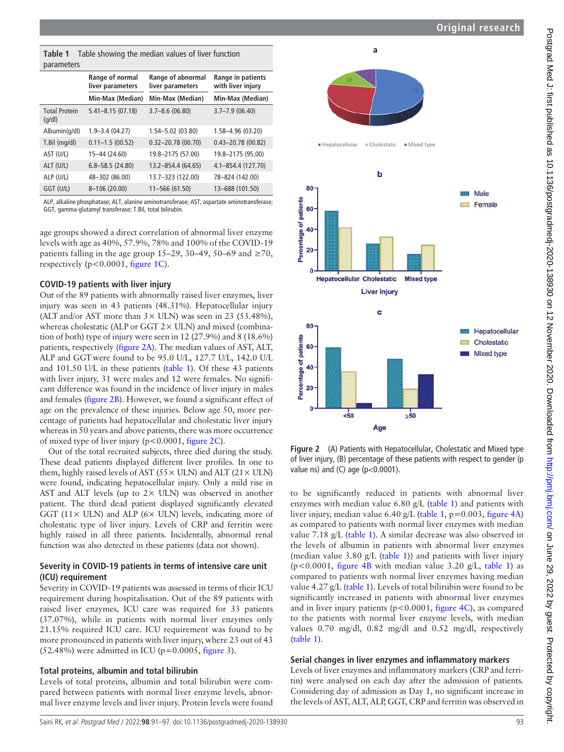Postgrad Med J: first published as 10.1136/postgradmedj-2020-138930 on 12 November 2020. Downloaded from http://pmj.bmj.com/ on June 29, 2022 by guest. Protected by copyright. Postgrad Med J: first published as 10.1136/postgradmedj-2020-138930 on 12 November 2020. Downloaded from http://pmj.com/ on June 29, 2022 by guest. Protected by copyright.

|            | <b>Table 1</b> Table showing the median values of liver function |
|------------|------------------------------------------------------------------|
| parameters |                                                                  |

| paraments                      |                                     |                                       |                                        |
|--------------------------------|-------------------------------------|---------------------------------------|----------------------------------------|
|                                | Range of normal<br>liver parameters | Range of abnormal<br>liver parameters | Range in patients<br>with liver injury |
|                                | Min-Max (Median)                    | Min-Max (Median)                      | Min-Max (Median)                       |
| <b>Total Protein</b><br>(q/dl) | $5.41 - 8.15(07.18)$                | $3.7 - 8.6(06.80)$                    | $3.7 - 7.9(06.40)$                     |
| Albumin(g/dl)                  | $1.9 - 3.4(04.27)$                  | 1.54-5.02 (03.80)                     | 1.58-4.96 (03.20)                      |
| T.Bil (mg/dl)                  | $0.11 - 1.5(00.52)$                 | $0.32 - 20.78(00.70)$                 | $0.43 - 20.78(00.82)$                  |
| AST (U/L)                      | 15-44 (24.60)                       | 19.8-2175 (57.00)                     | 19.8-2175 (95.00)                      |
| ALT (U/L)                      | $6.8 - 58.5(24.80)$                 | 13.2-854.4 (64.65)                    | 4.1-854.4 (127.70)                     |
| ALP (U/L)                      | 48-302 (86.00)                      | 13.7-323 (122.00)                     | 78-824 (142.00)                        |
| GGT (U/L)                      | 8-106 (20.00)                       | 11-566 (61.50)                        | 13-688 (101.50)                        |
|                                |                                     |                                       |                                        |

ALP, alkaline phosphatase; ALT, alanine aminotransferase; AST, aspartate aminotransferase; GGT, gamma-glutamyl transferase; T.Bil, total bilirubin.

age groups showed a direct correlation of abnormal liver enzyme levels with age as 40%, 57.9%, 78% and 100% of the COVID-19 patients falling in the age group 15–29, 30–49, 50–69 and  $\geq$ 70, respectively ( $p < 0.0001$ , figure 1C).

#### COVID-19 patients with liver injury

Out of the 89 patients with abnormally raised liver enzymes, liver injury was seen in 43 patients (48.31%). Hepatocellular injury (ALT and/or AST more than  $3 \times$  ULN) was seen in 23 (53.48%), whereas cholestatic (ALP or GGT 2× ULN) and mixed (combination of both) type of injury were seen in 12 (27.9%) and 8 (18.6%) patients, respectively (figure 2A). The median values of AST, ALT, ALP and GGT were found to be 95.0 U/L, 127.7 U/L, 142.0 U/L and 101.50 U/L in these patients (table 1). Of these 43 patients with liver injury, 31 were males and 12 were females. No significant difference was found in the incidence of liver injury in males and females (figure 2B). However, we found a significant effect of age on the prevalence of these injuries. Below age 50, more percentage of patients had hepatocellular and cholestatic liver injury whereas in 50 years and above patients, there was more occurrence of mixed type of liver injury (p<0.0001, figure 2C).

Out of the total recruited subjects, three died during the study. These dead patients displayed different liver profiles. In one to them, highly raised levels of AST ( $55 \times$  ULN) and ALT ( $21 \times$  ULN) were found, indicating hepatocellular injury. Only a mild rise in AST and ALT levels (up to  $2 \times$  ULN) was observed in another patient. The third dead patient displayed significantly elevated GGT (11 $\times$  ULN) and ALP (6 $\times$  ULN) levels, indicating more of cholestatic type of liver injury. Levels of CRP and ferritin were highly raised in all three patients. Incidentally, abnormal renal function was also detected in these patients (data not shown).

# Severity in COVID-19 patients in terms of intensive care unit (ICU) requirement

Severity in COVID-19 patients was assessed in terms of their ICU requirement during hospitalisation. Out of the 89 patients with raised liver enzymes, ICU care was required for 33 patients (37.07%), while in patients with normal liver enzymes only 21.15% required ICU care. ICU requirement was found to be more pronounced in patients with liver injury, where 23 out of 43  $(52.48\%)$  were admitted in ICU (p=0.0005, figure 3).

# Total proteins, albumin and total bilirubin

Levels of total proteins, albumin and total bilirubin were compared between patients with normal liver enzyme levels, abnormal liver enzyme levels and liver injury. Protein levels were found



Figure 2 (A) Patients with Hepatocellular, Cholestatic and Mixed type of liver injury, (B) percentage of these patients with respect to gender (p value ns) and (C) age ( $p<0.0001$ ).

to be significantly reduced in patients with abnormal liver enzymes with median value 6.80 g/L (table 1) and patients with liver injury, median value 6.40 g/L (table 1,  $p=0.003$ , figure 4A) as compared to patients with normal liver enzymes with median value 7.18 g/L (table 1). A similar decrease was also observed in the levels of albumin in patients with abnormal liver enzymes (median value  $3.80 \text{ g/L}$  (table 1)) and patients with liver injury ( $p$ <0.0001, figure 4B with median value 3.20 g/L, table 1) as compared to patients with normal liver enzymes having median value 4.27 g/L (table 1). Levels of total bilirubin were found to be significantly increased in patients with abnormal liver enzymes and in liver injury patients (p<0.0001, figure 4C), as compared to the patients with normal liver enzyme levels, with median values 0.70 mg/dl, 0.82 mg/dl and 0.52 mg/dl, respectively (table 1).

#### Serial changes in liver enzymes and inflammatory markers

Levels of liver enzymes and inflammatory markers (CRP and ferritin) were analysed on each day after the admission of patients. Considering day of admission as Day 1, no significant increase in the levels of AST, ALT, ALP, GGT, CRP and ferritin was observed in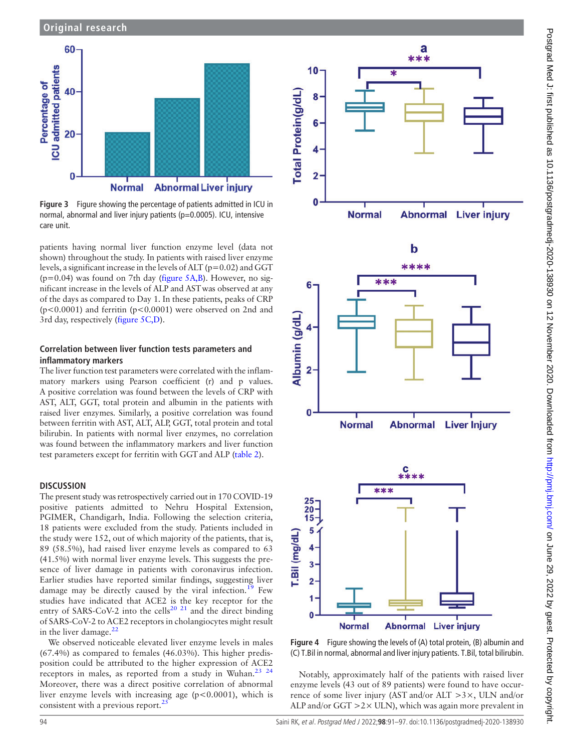

Figure 3 Figure showing the percentage of patients admitted in ICU in normal, abnormal and liver injury patients (p=0.0005). ICU, intensive care unit.

patients having normal liver function enzyme level (data not shown) throughout the study. In patients with raised liver enzyme levels, a significant increase in the levels of ALT ( $p=0.02$ ) and GGT  $(p=0.04)$  was found on 7th day (figure 5A,B). However, no significant increase in the levels of ALP and ASTwas observed at any of the days as compared to Day 1. In these patients, peaks of CRP (p<0.0001) and ferritin (p<0.0001) were observed on 2nd and 3rd day, respectively (figure 5C,D).

# Correlation between liver function tests parameters and inflammatory markers

The liver function test parameters were correlated with the inflammatory markers using Pearson coefficient (r) and p values. A positive correlation was found between the levels of CRP with AST, ALT, GGT, total protein and albumin in the patients with raised liver enzymes. Similarly, a positive correlation was found between ferritin with AST, ALT, ALP, GGT, total protein and total bilirubin. In patients with normal liver enzymes, no correlation was found between the inflammatory markers and liver function test parameters except for ferritin with GGT and ALP (table 2).

# **DISCUSSION**

The present study was retrospectively carried out in 170 COVID-19 positive patients admitted to Nehru Hospital Extension, PGIMER, Chandigarh, India. Following the selection criteria, 18 patients were excluded from the study. Patients included in the study were 152, out of which majority of the patients, that is, 89 (58.5%), had raised liver enzyme levels as compared to 63 (41.5%) with normal liver enzyme levels. This suggests the presence of liver damage in patients with coronavirus infection. Earlier studies have reported similar findings, suggesting liver damage may be directly caused by the viral infection.<sup>19</sup> Few studies have indicated that ACE2 is the key receptor for the entry of SARS-CoV-2 into the cells<sup>20 21</sup> and the direct binding of SARS-CoV-2 to ACE2 receptors in cholangiocytes might result in the liver damage. $<sup>2</sup>$ </sup>

We observed noticeable elevated liver enzyme levels in males (67.4%) as compared to females (46.03%). This higher predisposition could be attributed to the higher expression of ACE2 receptors in males, as reported from a study in Wuhan.<sup>23</sup> <sup>24</sup> Moreover, there was a direct positive correlation of abnormal liver enzyme levels with increasing age  $(p<0.0001)$ , which is consistent with a previous report. $^{25}$ 







Figure 4 Figure showing the levels of (A) total protein, (B) albumin and (C) T.Bil in normal, abnormal and liver injury patients. T.Bil, total bilirubin.

Notably, approximately half of the patients with raised liver enzyme levels (43 out of 89 patients) were found to have occurrence of some liver injury (AST and/or ALT >3×, ULN and/or ALP and/or GGT  $>2\times$  ULN), which was again more prevalent in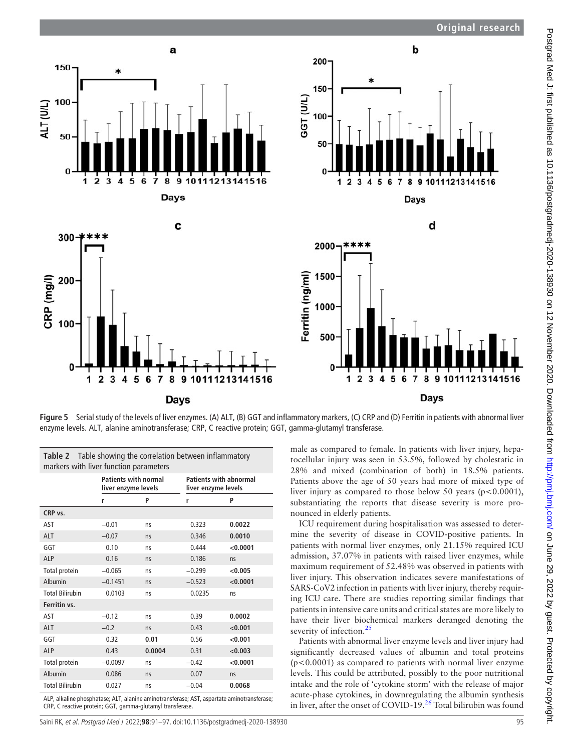



2000-\*\*\*\*

1500

1000

500

 $\Omega$ 

 $\overline{2}$  $\overline{3}$ 

1

 $\overline{5}$  $\ddot{\bf{6}}$   $\overline{7}$ 8

Days

9 10111213141516

 $\overline{\mathbf{4}}$ 

d



Figure 5 Serial study of the levels of liver enzymes. (A) ALT, (B) GGT and inflammatory markers, (C) CRP and (D) Ferritin in patients with abnormal liver enzyme levels. ALT, alanine aminotransferase; CRP, C reactive protein; GGT, gamma-glutamyl transferase.

|                        |           | <b>Patients with normal</b><br>liver enzyme levels |          | <b>Patients with abnormal</b><br>liver enzyme levels |  |
|------------------------|-----------|----------------------------------------------------|----------|------------------------------------------------------|--|
|                        | r         | P                                                  | r        | P                                                    |  |
| CRP vs.                |           |                                                    |          |                                                      |  |
| AST                    | $-0.01$   | ns                                                 | 0.323    | 0.0022                                               |  |
| <b>ALT</b>             | $-0.07$   | <b>ns</b>                                          | 0.346    | 0.0010                                               |  |
| GGT                    | 0.10      | ns                                                 | 0.444    | < 0.0001                                             |  |
| <b>ALP</b>             | 0.16      | ns                                                 | 0.186    | ns                                                   |  |
| Total protein          | $-0.065$  | ns                                                 | $-0.299$ | < 0.005                                              |  |
| Albumin                | $-0.1451$ | ns                                                 | $-0.523$ | < 0.0001                                             |  |
| <b>Total Bilirubin</b> | 0.0103    | ns                                                 | 0.0235   | ns                                                   |  |
| Ferritin vs.           |           |                                                    |          |                                                      |  |
| AST                    | $-0.12$   | ns                                                 | 0.39     | 0.0002                                               |  |
| <b>ALT</b>             | $-0.2$    | ns                                                 | 0.43     | < 0.001                                              |  |
| GGT                    | 0.32      | 0.01                                               | 0.56     | < 0.001                                              |  |
| <b>ALP</b>             | 0.43      | 0.0004                                             | 0.31     | < 0.003                                              |  |
| Total protein          | $-0.0097$ | ns                                                 | $-0.42$  | < 0.0001                                             |  |
| Albumin                | 0.086     | ns                                                 | 0.07     | ns                                                   |  |
| <b>Total Bilirubin</b> | 0.027     | ns                                                 | $-0.04$  | 0.0068                                               |  |

ALP, alkaline phosphatase; ALT, alanine aminotransferase; AST, aspartate aminotransferase; CRP, C reactive protein; GGT, gamma-glutamyl transferase.

male as compared to female. In patients with liver injury, hepatocellular injury was seen in 53.5%, followed by cholestatic in 28% and mixed (combination of both) in 18.5% patients. Patients above the age of 50 years had more of mixed type of liver injury as compared to those below 50 years ( $p < 0.0001$ ), substantiating the reports that disease severity is more pronounced in elderly patients.

ICU requirement during hospitalisation was assessed to determine the severity of disease in COVID-positive patients. In patients with normal liver enzymes, only 21.15% required ICU admission, 37.07% in patients with raised liver enzymes, while maximum requirement of 52.48% was observed in patients with liver injury. This observation indicates severe manifestations of SARS-CoV2 infection in patients with liver injury, thereby requiring ICU care. There are studies reporting similar findings that patients in intensive care units and critical states are more likely to have their liver biochemical markers deranged denoting the severity of infection.<sup>25</sup>

Patients with abnormal liver enzyme levels and liver injury had significantly decreased values of albumin and total proteins  $(p<0.0001)$  as compared to patients with normal liver enzyme levels. This could be attributed, possibly to the poor nutritional intake and the role of 'cytokine storm' with the release of major acute-phase cytokines, in downregulating the albumin synthesis in liver, after the onset of COVID-19.<sup>26</sup> Total bilirubin was found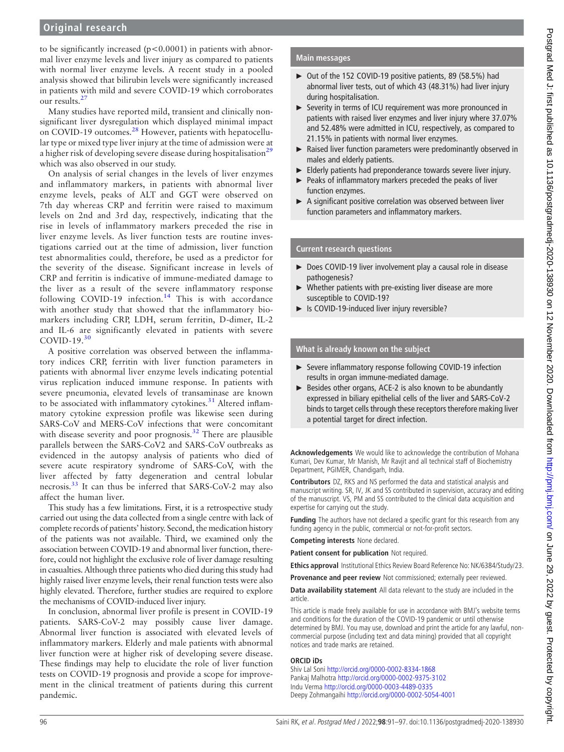to be significantly increased  $(p<0.0001)$  in patients with abnormal liver enzyme levels and liver injury as compared to patients with normal liver enzyme levels. A recent study in a pooled analysis showed that bilirubin levels were significantly increased in patients with mild and severe COVID-19 which corroborates our results.<sup>2</sup>

Many studies have reported mild, transient and clinically nonsignificant liver dysregulation which displayed minimal impact on COVID-19 outcomes.<sup>28</sup> However, patients with hepatocellular type or mixed type liver injury at the time of admission were at a higher risk of developing severe disease during hospitalisation<sup>29</sup> which was also observed in our study.

On analysis of serial changes in the levels of liver enzymes and inflammatory markers, in patients with abnormal liver enzyme levels, peaks of ALT and GGT were observed on 7th day whereas CRP and ferritin were raised to maximum levels on 2nd and 3rd day, respectively, indicating that the rise in levels of inflammatory markers preceded the rise in liver enzyme levels. As liver function tests are routine investigations carried out at the time of admission, liver function test abnormalities could, therefore, be used as a predictor for the severity of the disease. Significant increase in levels of CRP and ferritin is indicative of immune-mediated damage to the liver as a result of the severe inflammatory response following COVID-19 infection.<sup>14</sup> This is with accordance with another study that showed that the inflammatory biomarkers including CRP, LDH, serum ferritin, D-dimer, IL-2 and IL-6 are significantly elevated in patients with severe COVID-19.<sup>30</sup>

A positive correlation was observed between the inflammatory indices CRP, ferritin with liver function parameters in patients with abnormal liver enzyme levels indicating potential virus replication induced immune response. In patients with severe pneumonia, elevated levels of transaminase are known to be associated with inflammatory cytokines. $31$  Altered inflammatory cytokine expression profile was likewise seen during SARS-CoV and MERS-CoV infections that were concomitant with disease severity and poor prognosis.<sup>32</sup> There are plausible parallels between the SARS-CoV2 and SARS-CoV outbreaks as evidenced in the autopsy analysis of patients who died of severe acute respiratory syndrome of SARS-CoV, with the liver affected by fatty degeneration and central lobular necrosis.<sup>33</sup> It can thus be inferred that SARS-CoV-2 may also affect the human liver.

This study has a few limitations. First, it is a retrospective study carried out using the data collected from a single centre with lack of complete records of patients' history. Second, the medication history of the patients was not available. Third, we examined only the association between COVID-19 and abnormal liver function, therefore, could not highlight the exclusive role of liver damage resulting in casualties. Although three patients who died during this study had highly raised liver enzyme levels, their renal function tests were also highly elevated. Therefore, further studies are required to explore the mechanisms of COVID-induced liver injury.

In conclusion, abnormal liver profile is present in COVID-19 patients. SARS-CoV-2 may possibly cause liver damage. Abnormal liver function is associated with elevated levels of inflammatory markers. Elderly and male patients with abnormal liver function were at higher risk of developing severe disease. These findings may help to elucidate the role of liver function tests on COVID-19 prognosis and provide a scope for improvement in the clinical treatment of patients during this current pandemic.

# Main messages

- ► Out of the 152 COVID-19 positive patients, 89 (58.5%) had abnormal liver tests, out of which 43 (48.31%) had liver injury during hospitalisation.
- ► Severity in terms of ICU requirement was more pronounced in patients with raised liver enzymes and liver injury where 37.07% and 52.48% were admitted in ICU, respectively, as compared to 21.15% in patients with normal liver enzymes.
- ► Raised liver function parameters were predominantly observed in males and elderly patients.
- Elderly patients had preponderance towards severe liver injury.
- Peaks of inflammatory markers preceded the peaks of liver function enzymes.
- ► A significant positive correlation was observed between liver function parameters and inflammatory markers.

#### Current research questions

- ► Does COVID-19 liver involvement play a causal role in disease pathogenesis?
- Whether patients with pre-existing liver disease are more susceptible to COVID-19?
- ► Is COVID-19-induced liver injury reversible?

# What is already known on the subject

- ► Severe inflammatory response following COVID-19 infection results in organ immune-mediated damage.
- ► Besides other organs, ACE-2 is also known to be abundantly expressed in biliary epithelial cells of the liver and SARS-CoV-2 binds to target cells through these receptors therefore making liver a potential target for direct infection.

Acknowledgements We would like to acknowledge the contribution of Mohana Kumari, Dev Kumar, Mr Manish, Mr Ravjit and all technical staff of Biochemistry Department, PGIMER, Chandigarh, India.

Contributors DZ, RKS and NS performed the data and statistical analysis and manuscript writing. SR, IV, JK and SS contributed in supervision, accuracy and editing of the manuscript. VS, PM and SS contributed to the clinical data acquisition and expertise for carrying out the study.

Funding The authors have not declared a specific grant for this research from any funding agency in the public, commercial or not-for-profit sectors.

Competing interests None declared.

Patient consent for publication Not required.

Ethics approval Institutional Ethics Review Board Reference No: NK/6384/Study/23.

Provenance and peer review Not commissioned; externally peer reviewed.

Data availability statement All data relevant to the study are included in the article.

This article is made freely available for use in accordance with BMJ's website terms and conditions for the duration of the COVID-19 pandemic or until otherwise determined by BMJ. You may use, download and print the article for any lawful, noncommercial purpose (including text and data mining) provided that all copyright notices and trade marks are retained.

#### ORCID iDs

Shiv Lal Soni <http://orcid.org/0000-0002-8334-1868> Pankaj Malhotra <http://orcid.org/0000-0002-9375-3102> Indu Verma <http://orcid.org/0000-0003-4489-0335> Deepy Zohmangaihi <http://orcid.org/0000-0002-5054-4001>